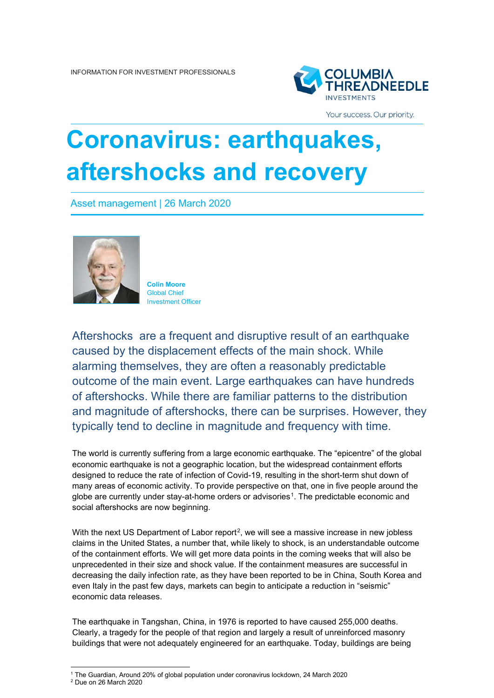

Your success. Our priority.

## **Coronavirus: earthquakes, aftershocks and recovery**

Asset management | 26 March 2020



**Colin Moore** Global Chief Investment Officer

Aftershocks are a frequent and disruptive result of an earthquake caused by the displacement effects of the main shock. While alarming themselves, they are often a reasonably predictable outcome of the main event. Large earthquakes can have hundreds of aftershocks. While there are familiar patterns to the distribution and magnitude of aftershocks, there can be surprises. However, they typically tend to decline in magnitude and frequency with time.

The world is currently suffering from a large economic earthquake. The "epicentre" of the global economic earthquake is not a geographic location, but the widespread containment efforts designed to reduce the rate of infection of Covid-19, resulting in the short-term shut down of many areas of economic activity. To provide perspective on that, one in five people around the globe are currently under stay-at-home orders or advisories<sup>[1](#page-0-0)</sup>. The predictable economic and social aftershocks are now beginning.

With the next US Department of Labor report<sup>2</sup>, we will see a massive increase in new jobless claims in the United States, a number that, while likely to shock, is an understandable outcome of the containment efforts. We will get more data points in the coming weeks that will also be unprecedented in their size and shock value. If the containment measures are successful in decreasing the daily infection rate, as they have been reported to be in China, South Korea and even Italy in the past few days, markets can begin to anticipate a reduction in "seismic" economic data releases.

The earthquake in Tangshan, China, in 1976 is reported to have caused 255,000 deaths. Clearly, a tragedy for the people of that region and largely a result of unreinforced masonry buildings that were not adequately engineered for an earthquake. Today, buildings are being

 $1$  The Guardian, Around 20% of global population under coronavirus lockdown, 24 March 2020

<span id="page-0-1"></span><span id="page-0-0"></span><sup>2</sup> Due on 26 March 2020